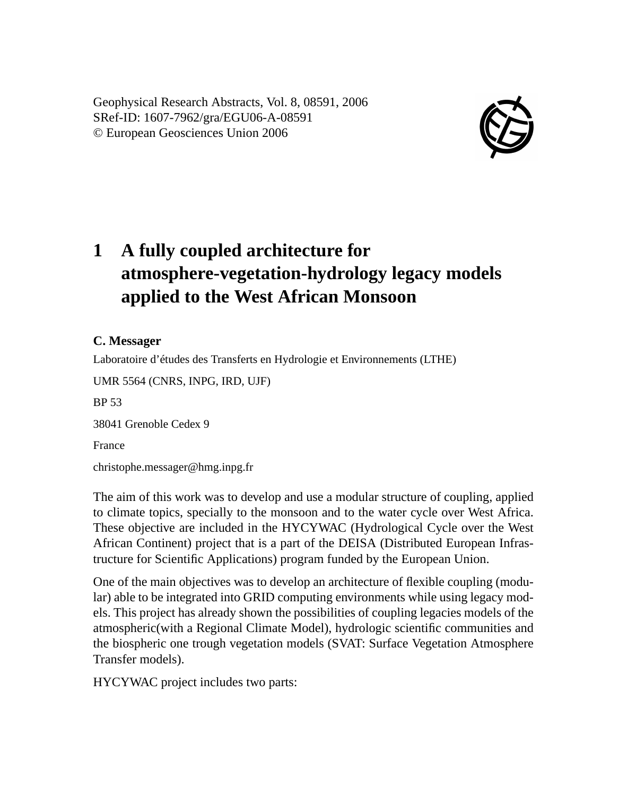Geophysical Research Abstracts, Vol. 8, 08591, 2006 SRef-ID: 1607-7962/gra/EGU06-A-08591 © European Geosciences Union 2006



## **1 A fully coupled architecture for atmosphere-vegetation-hydrology legacy models applied to the West African Monsoon**

## **C. Messager**

Laboratoire d'études des Transferts en Hydrologie et Environnements (LTHE)

UMR 5564 (CNRS, INPG, IRD, UJF)

BP 53

38041 Grenoble Cedex 9

France

christophe.messager@hmg.inpg.fr

The aim of this work was to develop and use a modular structure of coupling, applied to climate topics, specially to the monsoon and to the water cycle over West Africa. These objective are included in the HYCYWAC (Hydrological Cycle over the West African Continent) project that is a part of the DEISA (Distributed European Infrastructure for Scientific Applications) program funded by the European Union.

One of the main objectives was to develop an architecture of flexible coupling (modular) able to be integrated into GRID computing environments while using legacy models. This project has already shown the possibilities of coupling legacies models of the atmospheric(with a Regional Climate Model), hydrologic scientific communities and the biospheric one trough vegetation models (SVAT: Surface Vegetation Atmosphere Transfer models).

HYCYWAC project includes two parts: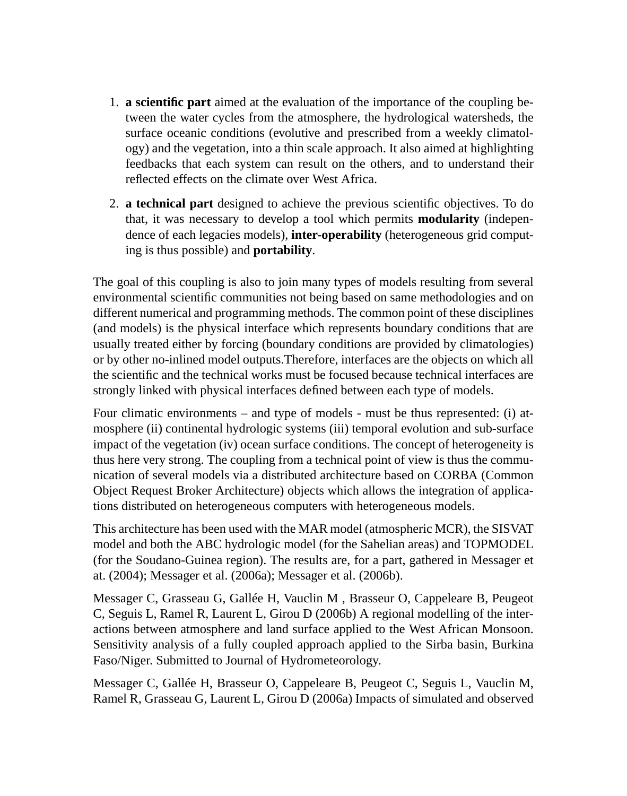- 1. **a scientific part** aimed at the evaluation of the importance of the coupling between the water cycles from the atmosphere, the hydrological watersheds, the surface oceanic conditions (evolutive and prescribed from a weekly climatology) and the vegetation, into a thin scale approach. It also aimed at highlighting feedbacks that each system can result on the others, and to understand their reflected effects on the climate over West Africa.
- 2. **a technical part** designed to achieve the previous scientific objectives. To do that, it was necessary to develop a tool which permits **modularity** (independence of each legacies models), **inter-operability** (heterogeneous grid computing is thus possible) and **portability**.

The goal of this coupling is also to join many types of models resulting from several environmental scientific communities not being based on same methodologies and on different numerical and programming methods. The common point of these disciplines (and models) is the physical interface which represents boundary conditions that are usually treated either by forcing (boundary conditions are provided by climatologies) or by other no-inlined model outputs.Therefore, interfaces are the objects on which all the scientific and the technical works must be focused because technical interfaces are strongly linked with physical interfaces defined between each type of models.

Four climatic environments – and type of models - must be thus represented: (i) atmosphere (ii) continental hydrologic systems (iii) temporal evolution and sub-surface impact of the vegetation (iv) ocean surface conditions. The concept of heterogeneity is thus here very strong. The coupling from a technical point of view is thus the communication of several models via a distributed architecture based on CORBA (Common Object Request Broker Architecture) objects which allows the integration of applications distributed on heterogeneous computers with heterogeneous models.

This architecture has been used with the MAR model (atmospheric MCR), the SISVAT model and both the ABC hydrologic model (for the Sahelian areas) and TOPMODEL (for the Soudano-Guinea region). The results are, for a part, gathered in Messager et at. (2004); Messager et al. (2006a); Messager et al. (2006b).

Messager C, Grasseau G, Gallée H, Vauclin M , Brasseur O, Cappeleare B, Peugeot C, Seguis L, Ramel R, Laurent L, Girou D (2006b) A regional modelling of the interactions between atmosphere and land surface applied to the West African Monsoon. Sensitivity analysis of a fully coupled approach applied to the Sirba basin, Burkina Faso/Niger. Submitted to Journal of Hydrometeorology.

Messager C, Gallée H, Brasseur O, Cappeleare B, Peugeot C, Seguis L, Vauclin M, Ramel R, Grasseau G, Laurent L, Girou D (2006a) Impacts of simulated and observed